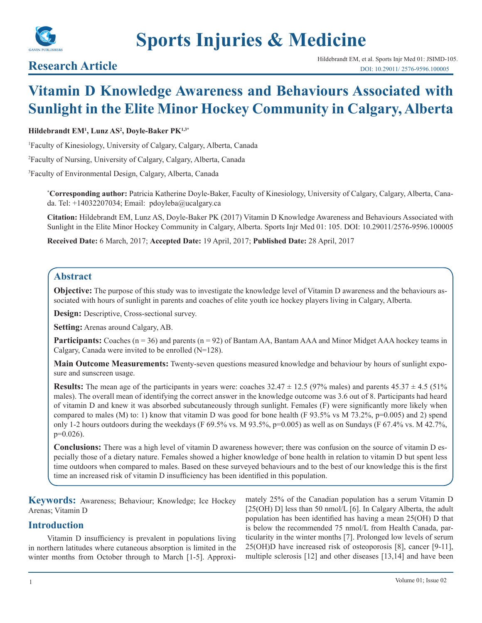

# **Sports Injuries & Medicine**

## **Vitamin D Knowledge Awareness and Behaviours Associated with Sunlight in the Elite Minor Hockey Community in Calgary, Alberta**

#### **Hildebrandt EM1 , Lunz AS2 , Doyle-Baker PK1,3\***

1 Faculty of Kinesiology, University of Calgary, Calgary, Alberta, Canada

2 Faculty of Nursing, University of Calgary, Calgary, Alberta, Canada

3 Faculty of Environmental Design, Calgary, Alberta, Canada

**\* Corresponding author:** Patricia Katherine Doyle-Baker, Faculty of Kinesiology, University of Calgary, Calgary, Alberta, Canada. Tel: +14032207034; Email: pdoyleba@ucalgary.ca

**Citation:** Hildebrandt EM, Lunz AS, Doyle-Baker PK (2017) Vitamin D Knowledge Awareness and Behaviours Associated with Sunlight in the Elite Minor Hockey Community in Calgary, Alberta. Sports Injr Med 01: 105. DOI: 10.29011/2576-9596.100005

**Received Date:** 6 March, 2017; **Accepted Date:** 19 April, 2017; **Published Date:** 28 April, 2017

#### **Abstract**

**Objective:** The purpose of this study was to investigate the knowledge level of Vitamin D awareness and the behaviours associated with hours of sunlight in parents and coaches of elite youth ice hockey players living in Calgary, Alberta.

**Design:** Descriptive, Cross-sectional survey.

**Setting:** Arenas around Calgary, AB.

**Participants:** Coaches (n = 36) and parents (n = 92) of Bantam AA, Bantam AAA and Minor Midget AAA hockey teams in Calgary, Canada were invited to be enrolled (N=128).

**Main Outcome Measurements:** Twenty-seven questions measured knowledge and behaviour by hours of sunlight exposure and sunscreen usage.

**Results:** The mean age of the participants in years were: coaches  $32.47 \pm 12.5$  (97% males) and parents  $45.37 \pm 4.5$  (51% males). The overall mean of identifying the correct answer in the knowledge outcome was 3.6 out of 8. Participants had heard of vitamin D and knew it was absorbed subcutaneously through sunlight. Females (F) were significantly more likely when compared to males (M) to: 1) know that vitamin D was good for bone health (F 93.5% vs M 73.2%,  $p=0.005$ ) and 2) spend only 1-2 hours outdoors during the weekdays (F 69.5% vs. M 93.5%, p=0.005) as well as on Sundays (F 67.4% vs. M 42.7%, p=0.026).

**Conclusions:** There was a high level of vitamin D awareness however; there was confusion on the source of vitamin D especially those of a dietary nature. Females showed a higher knowledge of bone health in relation to vitamin D but spent less time outdoors when compared to males. Based on these surveyed behaviours and to the best of our knowledge this is the first time an increased risk of vitamin D insufficiency has been identified in this population.

**Keywords:** Awareness; Behaviour; Knowledge; Ice Hockey Arenas; Vitamin D

#### **Introduction**

Vitamin D insufficiency is prevalent in populations living in northern latitudes where cutaneous absorption is limited in the winter months from October through to March [1-5]. Approximately 25% of the Canadian population has a serum Vitamin D [25(OH) D] less than 50 nmol/L [6]. In Calgary Alberta, the adult population has been identified has having a mean 25(OH) D that is below the recommended 75 nmol/L from Health Canada, particularity in the winter months [7]. Prolonged low levels of serum 25(OH)D have increased risk of osteoporosis [8], cancer [9-11], multiple sclerosis [12] and other diseases [13,14] and have been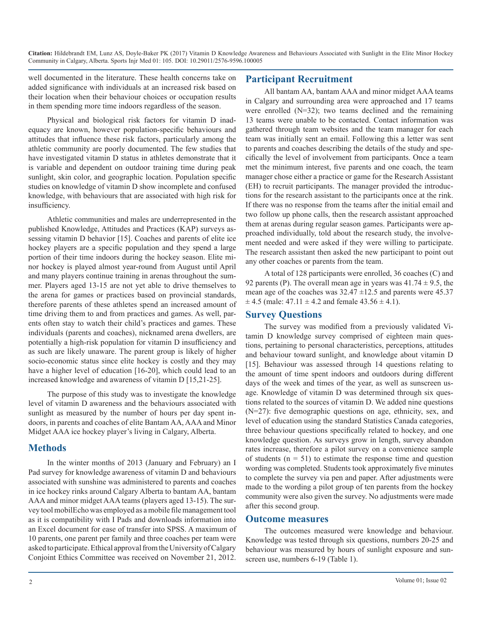well documented in the literature. These health concerns take on added significance with individuals at an increased risk based on their location when their behaviour choices or occupation results in them spending more time indoors regardless of the season.

Physical and biological risk factors for vitamin D inadequacy are known, however population-specific behaviours and attitudes that influence these risk factors, particularly among the athletic community are poorly documented. The few studies that have investigated vitamin D status in athletes demonstrate that it is variable and dependent on outdoor training time during peak sunlight, skin color, and geographic location. Population specific studies on knowledge of vitamin D show incomplete and confused knowledge, with behaviours that are associated with high risk for insufficiency.

Athletic communities and males are underrepresented in the published Knowledge, Attitudes and Practices (KAP) surveys assessing vitamin D behavior [15]. Coaches and parents of elite ice hockey players are a specific population and they spend a large portion of their time indoors during the hockey season. Elite minor hockey is played almost year-round from August until April and many players continue training in arenas throughout the summer. Players aged 13-15 are not yet able to drive themselves to the arena for games or practices based on provincial standards, therefore parents of these athletes spend an increased amount of time driving them to and from practices and games. As well, parents often stay to watch their child's practices and games. These individuals (parents and coaches), nicknamed arena dwellers, are potentially a high-risk population for vitamin D insufficiency and as such are likely unaware. The parent group is likely of higher socio-economic status since elite hockey is costly and they may have a higher level of education [16-20], which could lead to an increased knowledge and awareness of vitamin D [15,21-25].

The purpose of this study was to investigate the knowledge level of vitamin D awareness and the behaviours associated with sunlight as measured by the number of hours per day spent indoors, in parents and coaches of elite Bantam AA, AAA and Minor Midget AAA ice hockey player's living in Calgary, Alberta.

#### **Methods**

In the winter months of 2013 (January and February) an I Pad survey for knowledge awareness of vitamin D and behaviours associated with sunshine was administered to parents and coaches in ice hockey rinks around Calgary Alberta to bantam AA, bantam AAA and minor midget AAA teams (players aged 13-15). The survey tool mobilEcho was employed as a mobile file management tool as it is compatibility with I Pads and downloads information into an Excel document for ease of transfer into SPSS. A maximum of 10 parents, one parent per family and three coaches per team were asked to participate. Ethical approval from the University of Calgary Conjoint Ethics Committee was received on November 21, 2012.

### **Participant Recruitment**

All bantam AA, bantam AAA and minor midget AAA teams in Calgary and surrounding area were approached and 17 teams were enrolled  $(N=32)$ ; two teams declined and the remaining 13 teams were unable to be contacted. Contact information was gathered through team websites and the team manager for each team was initially sent an email. Following this a letter was sent to parents and coaches describing the details of the study and specifically the level of involvement from participants. Once a team met the minimum interest, five parents and one coach, the team manager chose either a practice or game for the Research Assistant (EH) to recruit participants. The manager provided the introductions for the research assistant to the participants once at the rink. If there was no response from the teams after the initial email and two follow up phone calls, then the research assistant approached them at arenas during regular season games. Participants were approached individually, told about the research study, the involvement needed and were asked if they were willing to participate. The research assistant then asked the new participant to point out any other coaches or parents from the team.

A total of 128 participants were enrolled, 36 coaches (C) and 92 parents (P). The overall mean age in years was  $41.74 \pm 9.5$ , the mean age of the coaches was  $32.47 \pm 12.5$  and parents were 45.37  $\pm$  4.5 (male: 47.11  $\pm$  4.2 and female 43.56  $\pm$  4.1).

#### **Survey Questions**

The survey was modified from a previously validated Vitamin D knowledge survey comprised of eighteen main questions, pertaining to personal characteristics, perceptions, attitudes and behaviour toward sunlight, and knowledge about vitamin D [15]. Behaviour was assessed through 14 questions relating to the amount of time spent indoors and outdoors during different days of the week and times of the year, as well as sunscreen usage. Knowledge of vitamin D was determined through six questions related to the sources of vitamin D. We added nine questions (N=27): five demographic questions on age, ethnicity, sex, and level of education using the standard Statistics Canada categories, three behaviour questions specifically related to hockey, and one knowledge question. As surveys grow in length, survey abandon rates increase, therefore a pilot survey on a convenience sample of students  $(n = 51)$  to estimate the response time and question wording was completed. Students took approximately five minutes to complete the survey via pen and paper. After adjustments were made to the wording a pilot group of ten parents from the hockey community were also given the survey. No adjustments were made after this second group.

#### **Outcome measures**

The outcomes measured were knowledge and behaviour. Knowledge was tested through six questions, numbers 20-25 and behaviour was measured by hours of sunlight exposure and sunscreen use, numbers 6-19 (Table 1).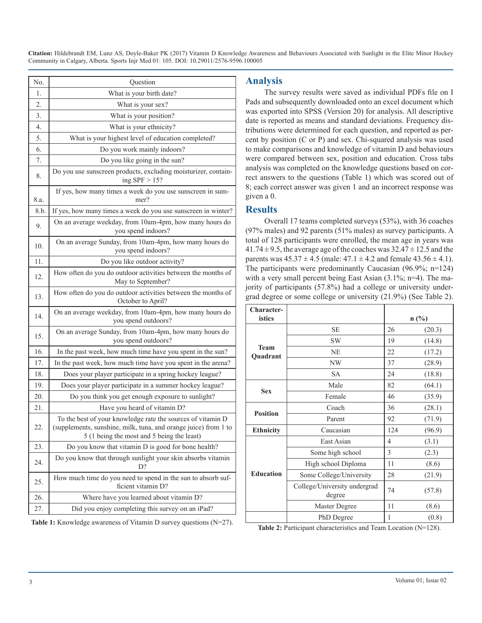| No.              | Question                                                                                                                                                                     |  |  |
|------------------|------------------------------------------------------------------------------------------------------------------------------------------------------------------------------|--|--|
| 1.               | What is your birth date?                                                                                                                                                     |  |  |
| $\overline{2}$ . | What is your sex?                                                                                                                                                            |  |  |
| 3.               | What is your position?                                                                                                                                                       |  |  |
| 4.               | What is your ethnicity?                                                                                                                                                      |  |  |
| 5.               | What is your highest level of education completed?                                                                                                                           |  |  |
| 6.               | Do you work mainly indoors?                                                                                                                                                  |  |  |
| 7.               | Do you like going in the sun?                                                                                                                                                |  |  |
| 8.               | Do you use sunscreen products, excluding moisturizer, contain-<br>ing $SPF > 15$ ?                                                                                           |  |  |
| 8.a.             | If yes, how many times a week do you use sunscreen in sum-<br>mer?                                                                                                           |  |  |
| 8.b.             | If yes, how many times a week do you use sunscreen in winter?                                                                                                                |  |  |
| 9.               | On an average weekday, from 10am-4pm, how many hours do<br>you spend indoors?                                                                                                |  |  |
| 10.              | On an average Sunday, from 10am-4pm, how many hours do<br>you spend indoors?                                                                                                 |  |  |
| 11.              | Do you like outdoor activity?                                                                                                                                                |  |  |
| 12.              | How often do you do outdoor activities between the months of<br>May to September?                                                                                            |  |  |
| 13.              | How often do you do outdoor activities between the months of<br>October to April?                                                                                            |  |  |
| 14.              | On an average weekday, from 10am-4pm, how many hours do<br>you spend outdoors?                                                                                               |  |  |
| 15.              | On an average Sunday, from 10am-4pm, how many hours do<br>you spend outdoors?                                                                                                |  |  |
| 16.              | In the past week, how much time have you spent in the sun?                                                                                                                   |  |  |
| 17.              | In the past week, how much time have you spent in the arena?                                                                                                                 |  |  |
| 18.              | Does your player participate in a spring hockey league?                                                                                                                      |  |  |
| 19.              | Does your player participate in a summer hockey league?                                                                                                                      |  |  |
| 20.              | Do you think you get enough exposure to sunlight?                                                                                                                            |  |  |
| 21.              | Have you heard of vitamin D?                                                                                                                                                 |  |  |
| 22.              | To the best of your knowledge rate the sources of vitamin D<br>(supplements, sunshine, milk, tuna, and orange juice) from 1 to<br>5 (1 being the most and 5 being the least) |  |  |
| 23.              | Do you know that vitamin D is good for bone health?                                                                                                                          |  |  |
| 24.              | Do you know that through sunlight your skin absorbs vitamin<br>D?                                                                                                            |  |  |
| 25.              | How much time do you need to spend in the sun to absorb suf-<br>ficient vitamin D?                                                                                           |  |  |
| 26.              | Where have you learned about vitamin D?                                                                                                                                      |  |  |
| 27.              | Did you enjoy completing this survey on an iPad?                                                                                                                             |  |  |

Table 1: Knowledge awareness of Vitamin D survey questions (N=27).

#### **Analysis**

The survey results were saved as individual PDFs file on I Pads and subsequently downloaded onto an excel document which was exported into SPSS (Version 20) for analysis. All descriptive date is reported as means and standard deviations. Frequency distributions were determined for each question, and reported as percent by position (C or P) and sex. Chi-squared analysis was used to make comparisons and knowledge of vitamin D and behaviours were compared between sex, position and education. Cross tabs analysis was completed on the knowledge questions based on correct answers to the questions (Table 1) which was scored out of 8; each correct answer was given 1 and an incorrect response was given a 0.

#### **Results**

Overall 17 teams completed surveys (53%), with 36 coaches (97% males) and 92 parents (51% males) as survey participants. A total of 128 participants were enrolled, the mean age in years was  $41.74 \pm 9.5$ , the average age of the coaches was  $32.47 \pm 12.5$  and the parents was  $45.37 \pm 4.5$  (male:  $47.1 \pm 4.2$  and female  $43.56 \pm 4.1$ ). The participants were predominantly Caucasian (96.9%; n=124) with a very small percent being East Asian (3.1%; n=4). The majority of participants (57.8%) had a college or university undergrad degree or some college or university (21.9%) (See Table 2).

| Character-<br>istics    |                                        | $n$ (%) |        |
|-------------------------|----------------------------------------|---------|--------|
|                         | <b>SE</b>                              | 26      | (20.3) |
|                         | <b>SW</b>                              | 19      | (14.8) |
| <b>Team</b><br>Quadrant | <b>NE</b>                              | 22      | (17.2) |
|                         | NW                                     | 37      | (28.9) |
|                         | <b>SA</b>                              | 24      | (18.8) |
| <b>Sex</b>              | Male                                   | 82      | (64.1) |
|                         | Female                                 | 46      | (35.9) |
| <b>Position</b>         | Coach                                  | 36      | (28.1) |
|                         | Parent                                 | 92      | (71.9) |
| <b>Ethnicity</b>        | Caucasian                              | 124     | (96.9) |
|                         | East Asian                             | 4       | (3.1)  |
|                         | Some high school                       | 3       | (2.3)  |
|                         | High school Diploma                    | 11      | (8.6)  |
| <b>Education</b>        | Some College/University                | 28      | (21.9) |
|                         | College/University undergrad<br>degree | 74      | (57.8) |
|                         | Master Degree                          | 11      | (8.6)  |
|                         | PhD Degree                             | 1       | (0.8)  |

**Table 2:** Participant characteristics and Team Location (N=128).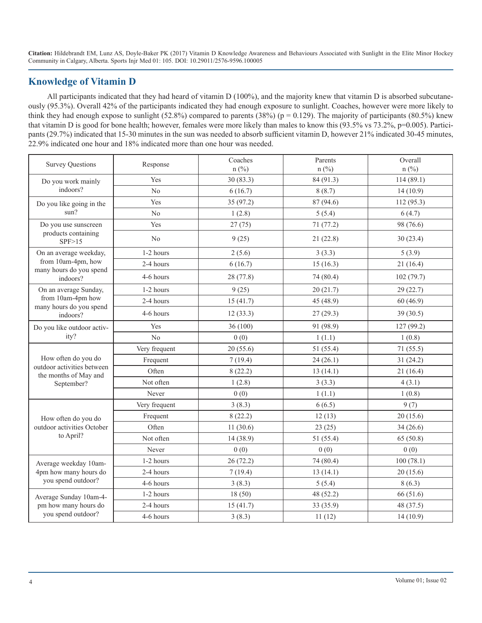### **Knowledge of Vitamin D**

All participants indicated that they had heard of vitamin D (100%), and the majority knew that vitamin D is absorbed subcutaneously (95.3%). Overall 42% of the participants indicated they had enough exposure to sunlight. Coaches, however were more likely to think they had enough expose to sunlight  $(52.8%)$  compared to parents  $(38%)$  (p = 0.129). The majority of participants  $(80.5%)$  knew that vitamin D is good for bone health; however, females were more likely than males to know this (93.5% vs 73.2%, p=0.005). Participants (29.7%) indicated that 15-30 minutes in the sun was needed to absorb sufficient vitamin D, however 21% indicated 30-45 minutes, 22.9% indicated one hour and 18% indicated more than one hour was needed.

| <b>Survey Questions</b>                             | Response       | Coaches<br>$n$ (%) | Parents<br>$n$ (%) | Overall<br>$n$ (%) |
|-----------------------------------------------------|----------------|--------------------|--------------------|--------------------|
| Do you work mainly                                  | Yes            | 30(83.3)           | 84 (91.3)          | 114(89.1)          |
| indoors?                                            | N <sub>0</sub> | 6(16.7)            | 8(8.7)             | 14(10.9)           |
| Do you like going in the                            | Yes            | 35 (97.2)          | 87 (94.6)          | 112(95.3)          |
| sum?                                                | N <sub>0</sub> | 1(2.8)             | 5(5.4)             | 6(4.7)             |
| Do you use sunscreen                                | Yes            | 27(75)             | 71 (77.2)          | 98 (76.6)          |
| products containing<br>SPF>15                       | No             | 9(25)              | 21(22.8)           | 30(23.4)           |
| On an average weekday,                              | 1-2 hours      | 2(5.6)             | 3(3.3)             | 5(3.9)             |
| from 10am-4pm, how<br>many hours do you spend       | 2-4 hours      | 6(16.7)            | 15(16.3)           | 21(16.4)           |
| indoors?                                            | 4-6 hours      | 28 (77.8)          | 74 (80.4)          | 102(79.7)          |
| On an average Sunday,                               | 1-2 hours      | 9(25)              | 20(21.7)           | 29(22.7)           |
| from 10am-4pm how<br>many hours do you spend        | 2-4 hours      | 15(41.7)           | 45 (48.9)          | 60(46.9)           |
| indoors?                                            | 4-6 hours      | 12(33.3)           | 27(29.3)           | 39(30.5)           |
| Do you like outdoor activ-                          | Yes            | 36(100)            | 91 (98.9)          | 127(99.2)          |
| ity?                                                | N <sub>0</sub> | 0(0)               | 1(1.1)             | 1(0.8)             |
|                                                     | Very frequent  | 20(55.6)           | 51 (55.4)          | 71(55.5)           |
| How often do you do                                 | Frequent       | 7(19.4)            | 24(26.1)           | 31(24.2)           |
| outdoor activities between<br>the months of May and | Often          | 8(22.2)            | 13(14.1)           | 21(16.4)           |
| September?                                          | Not often      | 1(2.8)             | 3(3.3)             | 4(3.1)             |
|                                                     | Never          | 0(0)               | 1(1.1)             | 1(0.8)             |
|                                                     | Very frequent  | 3(8.3)             | 6(6.5)             | 9(7)               |
| How often do you do                                 | Frequent       | 8(22.2)            | 12(13)             | 20(15.6)           |
| outdoor activities October                          | Often          | 11(30.6)           | 23(25)             | 34(26.6)           |
| to April?                                           | Not often      | 14(38.9)           | 51 (55.4)          | 65(50.8)           |
|                                                     | Never          | 0(0)               | 0(0)               | 0(0)               |
| Average weekday 10am-                               | 1-2 hours      | 26(72.2)           | 74 (80.4)          | 100(78.1)          |
| 4pm how many hours do                               | 2-4 hours      | 7(19.4)            | 13(14.1)           | 20(15.6)           |
| you spend outdoor?                                  | 4-6 hours      | 3(8.3)             | 5(5.4)             | 8(6.3)             |
| Average Sunday 10am-4-                              | 1-2 hours      | 18(50)             | 48 (52.2)          | 66 (51.6)          |
| pm how many hours do                                | 2-4 hours      | 15(41.7)           | 33 (35.9)          | 48 (37.5)          |
| you spend outdoor?                                  | 4-6 hours      | 3(8.3)             | 11(12)             | 14(10.9)           |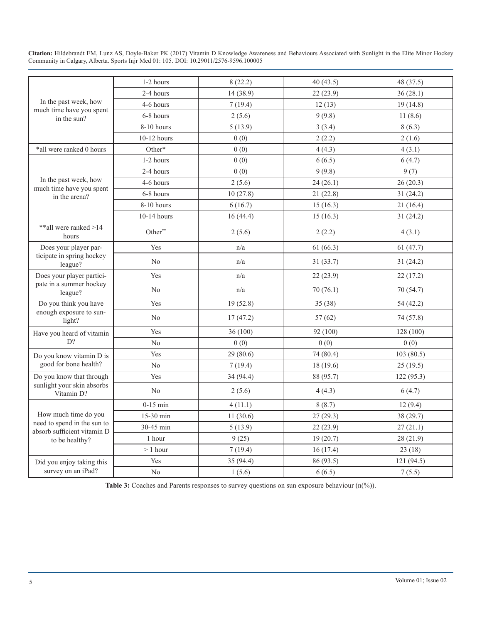|                                                            | 1-2 hours      | 8(22.2)   | 40(43.5)  | 48 (37.5)  |
|------------------------------------------------------------|----------------|-----------|-----------|------------|
|                                                            | 2-4 hours      | 14 (38.9) | 22(23.9)  | 36(28.1)   |
| In the past week, how<br>much time have you spent          | 4-6 hours      | 7(19.4)   | 12(13)    | 19(14.8)   |
| in the sun?                                                | 6-8 hours      | 2(5.6)    | 9(9.8)    | 11(8.6)    |
|                                                            | 8-10 hours     | 5(13.9)   | 3(3.4)    | 8(6.3)     |
|                                                            | $10-12$ hours  | 0(0)      | 2(2.2)    | 2(1.6)     |
| *all were ranked 0 hours                                   | Other*         | 0(0)      | 4(4.3)    | 4(3.1)     |
|                                                            | 1-2 hours      | 0(0)      | 6(6.5)    | 6(4.7)     |
|                                                            | 2-4 hours      | 0(0)      | 9(9.8)    | 9(7)       |
| In the past week, how<br>much time have you spent          | 4-6 hours      | 2(5.6)    | 24(26.1)  | 26(20.3)   |
| in the arena?                                              | 6-8 hours      | 10(27.8)  | 21(22.8)  | 31(24.2)   |
|                                                            | 8-10 hours     | 6(16.7)   | 15(16.3)  | 21(16.4)   |
|                                                            | 10-14 hours    | 16(44.4)  | 15(16.3)  | 31(24.2)   |
| **all were ranked >14<br>hours                             | Other**        | 2(5.6)    | 2(2.2)    | 4(3.1)     |
| Does your player par-                                      | Yes            | n/a       | 61(66.3)  | 61(47.7)   |
| ticipate in spring hockey<br>league?                       | No             | n/a       | 31(33.7)  | 31(24.2)   |
| Does your player partici-                                  | Yes            | n/a       | 22(23.9)  | 22(17.2)   |
| pate in a summer hockey<br>league?                         | No             | n/a       | 70(76.1)  | 70 (54.7)  |
| Do you think you have                                      | Yes            | 19(52.8)  | 35 (38)   | 54(42.2)   |
| enough exposure to sun-<br>light?                          | N <sub>0</sub> | 17(47.2)  | 57(62)    | 74(57.8)   |
| Have you heard of vitamin                                  | Yes            | 36 (100)  | 92 (100)  | 128 (100)  |
| D?                                                         | N <sub>0</sub> | 0(0)      | 0(0)      | 0(0)       |
| Do you know vitamin D is                                   | Yes            | 29(80.6)  | 74 (80.4) | 103(80.5)  |
| good for bone health?                                      | N <sub>0</sub> | 7(19.4)   | 18(19.6)  | 25(19.5)   |
| Do you know that through                                   | Yes            | 34 (94.4) | 88 (95.7) | 122(95.3)  |
| sunlight your skin absorbs<br>Vitamin D?                   | N <sub>0</sub> | 2(5.6)    | 4(4.3)    | 6(4.7)     |
|                                                            | $0-15$ min     | 4(11.1)   | 8(8.7)    | 12(9.4)    |
| How much time do you                                       | 15-30 min      | 11(30.6)  | 27(29.3)  | 38(29.7)   |
| need to spend in the sun to<br>absorb sufficient vitamin D | 30-45 min      | 5(13.9)   | 22(23.9)  | 27(21.1)   |
| to be healthy?                                             | 1 hour         | 9(25)     | 19(20.7)  | 28 (21.9)  |
|                                                            | $> 1$ hour     | 7(19.4)   | 16(17.4)  | 23(18)     |
| Did you enjoy taking this                                  | Yes            | 35 (94.4) | 86 (93.5) | 121 (94.5) |
| survey on an iPad?                                         | N <sub>0</sub> | 1(5.6)    | 6(6.5)    | 7(5.5)     |

Table 3: Coaches and Parents responses to survey questions on sun exposure behaviour (n(%)).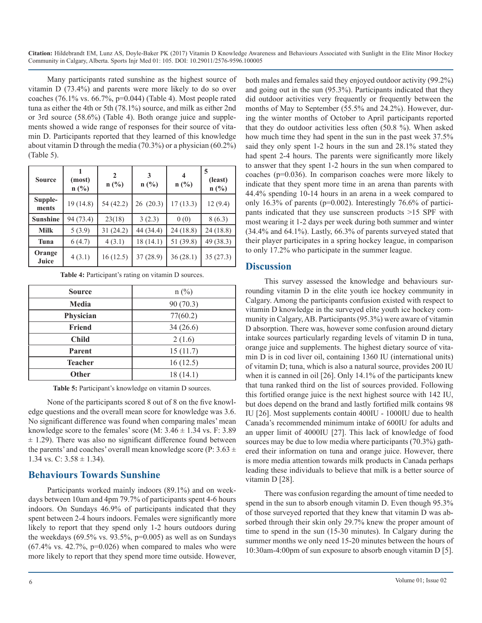Many participants rated sunshine as the highest source of vitamin D (73.4%) and parents were more likely to do so over coaches (76.1% vs. 66.7%, p=0.044) (Table 4). Most people rated tuna as either the 4th or 5th (78.1%) source, and milk as either 2nd or 3rd source (58.6%) (Table 4). Both orange juice and supplements showed a wide range of responses for their source of vitamin D. Participants reported that they learned of this knowledge about vitamin D through the media (70.3%) or a physician (60.2%) (Table 5).

| <b>Source</b>    | (most)<br>$n(^{0}/_{0})$ | $\mathbf{2}$<br>$n$ (%) | 3<br>n(%) | 4<br>$n$ (%) | (least)<br>$n$ (%) |
|------------------|--------------------------|-------------------------|-----------|--------------|--------------------|
| Supple-<br>ments | 19 (14.8)                | 54 (42.2)               | 26(20.3)  | 17(13.3)     | 12(9.4)            |
| <b>Sunshine</b>  | 94 (73.4)                | 23(18)                  | 3(2.3)    | 0(0)         | 8(6.3)             |
| <b>Milk</b>      | 5(3.9)                   | 31(24.2)                | 44 (34.4) | 24(18.8)     | 24(18.8)           |
| Tuna             | 6(4.7)                   | 4(3.1)                  | 18(14.1)  | 51 (39.8)    | 49 (38.3)          |
| Orange<br>Juice  | 4(3.1)                   | 16(12.5)                | 37(28.9)  | 36(28.1)     | 35(27.3)           |

Table 4: Participant's rating on vitamin D sources.

| <b>Source</b> | $n$ (%)   |
|---------------|-----------|
| <b>Media</b>  | 90 (70.3) |
| Physician     | 77(60.2)  |
| Friend        | 34(26.6)  |
| <b>Child</b>  | 2(1.6)    |
| Parent        | 15(11.7)  |
| Teacher       | 16(12.5)  |
| Other         | 18(14.1)  |

Table 5: Participant's knowledge on vitamin D sources.

None of the participants scored 8 out of 8 on the five knowledge questions and the overall mean score for knowledge was 3.6. No significant difference was found when comparing males' mean knowledge score to the females' score (M:  $3.46 \pm 1.34$  vs. F: 3.89)  $\pm$  1.29). There was also no significant difference found between the parents' and coaches' overall mean knowledge score (P:  $3.63 \pm$ 1.34 vs. C:  $3.58 \pm 1.34$ ).

#### **Behaviours Towards Sunshine**

Participants worked mainly indoors (89.1%) and on weekdays between 10am and 4pm 79.7% of participants spent 4-6 hours indoors. On Sundays 46.9% of participants indicated that they spent between 2-4 hours indoors. Females were significantly more likely to report that they spend only 1-2 hours outdoors during the weekdays  $(69.5\% \text{ vs. } 93.5\%, \text{ p=0.005})$  as well as on Sundays  $(67.4\%$  vs.  $42.7\%$ ,  $p=0.026$ ) when compared to males who were more likely to report that they spend more time outside. However, both males and females said they enjoyed outdoor activity (99.2%) and going out in the sun (95.3%). Participants indicated that they did outdoor activities very frequently or frequently between the months of May to September (55.5% and 24.2%). However, during the winter months of October to April participants reported that they do outdoor activities less often (50.8 %). When asked how much time they had spent in the sun in the past week  $37.5\%$ said they only spent 1-2 hours in the sun and 28.1% stated they had spent 2-4 hours. The parents were significantly more likely to answer that they spent 1-2 hours in the sun when compared to coaches (p=0.036). In comparison coaches were more likely to indicate that they spent more time in an arena than parents with 44.4% spending 10-14 hours in an arena in a week compared to only 16.3% of parents (p=0.002). Interestingly 76.6% of participants indicated that they use sunscreen products >15 SPF with most wearing it 1-2 days per week during both summer and winter (34.4% and 64.1%). Lastly, 66.3% of parents surveyed stated that their player participates in a spring hockey league, in comparison to only 17.2% who participate in the summer league.

#### **Discussion**

This survey assessed the knowledge and behaviours surrounding vitamin D in the elite youth ice hockey community in Calgary. Among the participants confusion existed with respect to vitamin D knowledge in the surveyed elite youth ice hockey community in Calgary, AB. Participants (95.3%) were aware of vitamin D absorption. There was, however some confusion around dietary intake sources particularly regarding levels of vitamin D in tuna, orange juice and supplements. The highest dietary source of vitamin D is in cod liver oil, containing 1360 IU (international units) of vitamin D; tuna, which is also a natural source, provides 200 IU when it is canned in oil [26]. Only 14.1% of the participants knew that tuna ranked third on the list of sources provided. Following this fortified orange juice is the next highest source with 142 IU, but does depend on the brand and lastly fortified milk contains 98 IU [26]. Most supplements contain 400IU - 1000IU due to health Canada's recommended minimum intake of 600IU for adults and an upper limit of 4000IU [27]. This lack of knowledge of food sources may be due to low media where participants (70.3%) gathered their information on tuna and orange juice. However, there is more media attention towards milk products in Canada perhaps leading these individuals to believe that milk is a better source of vitamin D [28].

There was confusion regarding the amount of time needed to spend in the sun to absorb enough vitamin D. Even though 95.3% of those surveyed reported that they knew that vitamin D was absorbed through their skin only 29.7% knew the proper amount of time to spend in the sun (15-30 minutes). In Calgary during the summer months we only need 15-20 minutes between the hours of 10:30am-4:00pm of sun exposure to absorb enough vitamin D [5].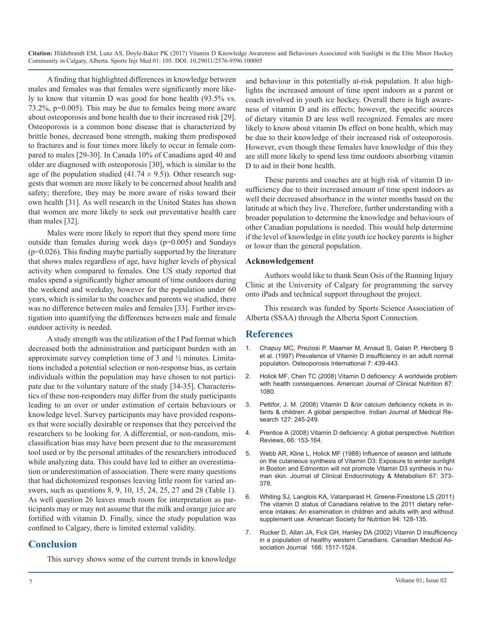A finding that highlighted differences in knowledge between males and females was that females were significantly more likely to know that vitamin D was good for bone health (93.5% vs. 73.2%, p=0.005). This may be due to females being more aware about osteoporosis and bone health due to their increased risk [29]. Osteoporosis is a common bone disease that is characterized by brittle bones, decreased bone strength, making them predisposed to fractures and is four times more likely to occur in female compared to males [29-30]. In Canada 10% of Canadians aged 40 and older are diagnosed with osteoporosis [30], which is similar to the age of the population studied  $(41.74 \pm 9.5)$ ). Other research suggests that women are more likely to be concerned about health and safety; therefore, they may be more aware of risks toward their own health [31]. As well research in the United States has shown that women are more likely to seek out preventative health care than males [32].

Males were more likely to report that they spend more time outside than females during week days (p=0.005) and Sundays (p=0.026). This finding maybe partially supported by the literature that shows males regardless of age, have higher levels of physical activity when compared to females. One US study reported that males spend a significantly higher amount of time outdoors during the weekend and weekday, however for the population under 60 years, which is similar to the coaches and parents we studied, there was no difference between males and females [33]. Further investigation into quantifying the differences between male and female outdoor activity is needed.

A study strength was the utilization of the I Pad format which decreased both the administration and participant burden with an approximate survey completion time of 3 and ½ minutes. Limitations included a potential selection or non-response bias, as certain individuals within the population may have chosen to not participate due to the voluntary nature of the study [34-35]. Characteristics of these non-responders may differ from the study participants leading to an over or under estimation of certain behaviours or knowledge level. Survey participants may have provided responses that were socially desirable or responses that they perceived the researchers to be looking for. A differential, or non-random, mis[classification bias may have been present due to the measurement](https://www.ncbi.nlm.nih.gov/pubmed/18844843)  tool used or by the personal attitudes of the researchers introduced [while analyzing data. This could have led to either an overestima](https://www.ncbi.nlm.nih.gov/pubmed/2839537)tion or underestimation of association. There were many questions that had dichotomized responses leaving little room for varied answers, such as questions 8, 9, 10, 15, 24, 25, 27 and 28 (Table 1). As well question 26 leaves much room for interpretation as participants may or may not assume that the milk and orange juice are fortified with vitamin D. Finally, since the study population was confined to Calgary, there is limited external validity.

#### **Conclusion**

This survey shows some of the current trends in knowledge

and behaviour in this potentially at-risk population. It also highlights the increased amount of time spent indoors as a parent or coach involved in youth ice hockey. Overall there is high awareness of vitamin D and its effects; however, the specific sources of dietary vitamin D are less well recognized. Females are more likely to know about vitamin Ds effect on bone health, which may be due to their knowledge of their increased risk of osteoporosis. However, even though these females have knowledge of this they are still more likely to spend less time outdoors absorbing vitamin D to aid in their bone health.

These parents and coaches are at high risk of vitamin D insufficiency due to their increased amount of time spent indoors as well their decreased absorbance in the winter months based on the latitude at which they live. Therefore, further understanding with a broader population to determine the knowledge and behaviours of other Canadian populations is needed. This would help determine if the level of knowledge in elite youth ice hockey parents is higher or lower than the general population.

#### **Acknowledgement**

Authors would like to thank Sean Osis of the Running Injury Clinic at the University of Calgary for programming the survey onto iPads and technical support throughout the project.

This research was funded by Sports Science Association of Alberta (SSAA) through the Alberta Sport Connection.

#### **References**

- 1. [Chapuy MC, Preziosi P, Maamer M, Arnaud S, Galan P, Hercberg S](https://www.ncbi.nlm.nih.gov/pubmed/9425501)  [et al. \(1997\) Prevalence of Vitamin D insufficiency in an adult normal](https://www.ncbi.nlm.nih.gov/pubmed/9425501)  [population. Osteoporosis International 7: 439-443.](https://www.ncbi.nlm.nih.gov/pubmed/9425501)
- 2. [Holick MF, Chen TC \(2008\) Vitamin D deficiency: A worldwide problem](https://www.ncbi.nlm.nih.gov/pubmed/18400738)  [with health consequences. American Journal of Clinical Nutrition 87:](https://www.ncbi.nlm.nih.gov/pubmed/18400738)  [1080.](https://www.ncbi.nlm.nih.gov/pubmed/18400738)
- 3. [Pettifor, J. M. \(2008\) Vitamin D &/or calcium deficiency rickets in in](https://www.ncbi.nlm.nih.gov/pubmed/18497438)[fants & children: A global perspective. Indian Journal of Medical Re](https://www.ncbi.nlm.nih.gov/pubmed/18497438)[search 127: 245-249.](https://www.ncbi.nlm.nih.gov/pubmed/18497438)
- 4. [Prentice A \(2008\) Vitamin D deficiency: A global perspective. Nutrition](https://www.ncbi.nlm.nih.gov/pubmed/18844843) Reviews, 66: 153-164.
- 5. [Webb AR, Kline L, Holick MF \(1988\) Influence of season and latitude](https://www.ncbi.nlm.nih.gov/pubmed/2839537)  on the cutaneous synthesis of Vitamin D3: Exposure to winter sunlight [in Boston and Edmonton will not promote Vitamin D3 synthesis in hu](https://www.ncbi.nlm.nih.gov/pubmed/2839537)[man skin. Journal of Clinical Endocrinology & Metabolism 67: 373-](https://www.ncbi.nlm.nih.gov/pubmed/2839537) [378.](https://www.ncbi.nlm.nih.gov/pubmed/2839537)
- 6. [Whiting SJ, Langlois KA, Vatanparast H, Greene-Finestone LS \(2011\)](https://www.ncbi.nlm.nih.gov/pubmed/21593503)  [The vitamin D status of Canadians relative to the 2011 dietary refer](https://www.ncbi.nlm.nih.gov/pubmed/21593503)[ence intakes: An examination in children and adults with and without](https://www.ncbi.nlm.nih.gov/pubmed/21593503)  [supplement use. American Society for Nutrition 94: 128-135](https://www.ncbi.nlm.nih.gov/pubmed/21593503).
- 7. [Rucker D, Allan JA, Fick GH, Hanley DA \(2002\) Vitamin D insufficienc](http://doi.org/10.29011/ JSIMD-105. 100005)y [in a population of healthy western Canadians. Canadian Medical As](http://doi.org/10.29011/ JSIMD-105. 100005)[sociation Journal 166: 1517-1524](http://doi.org/10.29011/ JSIMD-105. 100005).